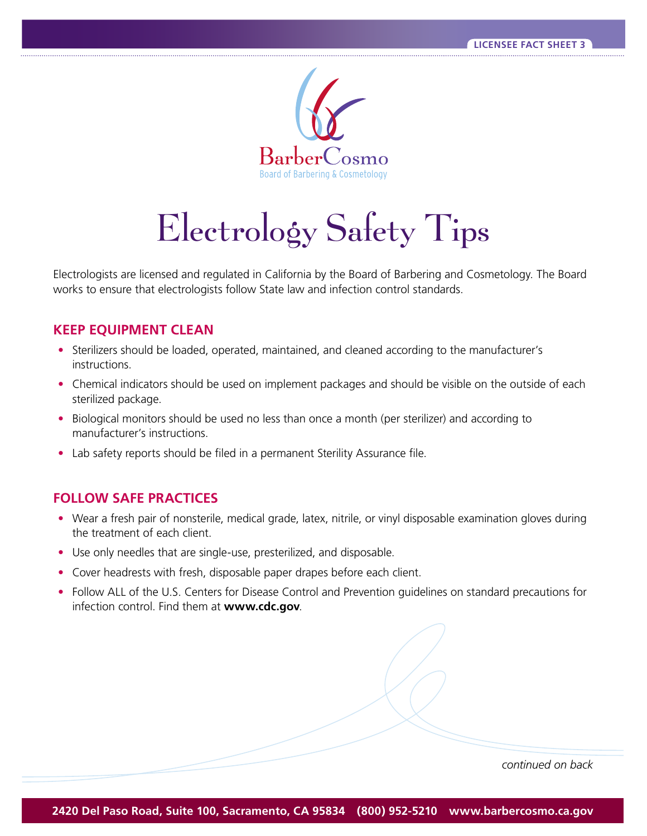

## Electrology Safety Tips

Electrologists are licensed and regulated in California by the Board of Barbering and Cosmetology. The Board works to ensure that electrologists follow State law and infection control standards.

## **KEEP EQUIPMENT CLEAN**

- Sterilizers should be loaded, operated, maintained, and cleaned according to the manufacturer's instructions.
- Chemical indicators should be used on implement packages and should be visible on the outside of each sterilized package.
- Biological monitors should be used no less than once a month (per sterilizer) and according to manufacturer's instructions.
- Lab safety reports should be filed in a permanent Sterility Assurance file.

## **FOLLOW SAFE PRACTICES**

- Wear a fresh pair of nonsterile, medical grade, latex, nitrile, or vinyl disposable examination gloves during the treatment of each client.
- Use only needles that are single-use, presterilized, and disposable.
- Cover headrests with fresh, disposable paper drapes before each client.
- Follow ALL of the U.S. Centers for Disease Control and Prevention guidelines on standard precautions for infection control. Find them at **www.cdc.gov**.

*continued on back*